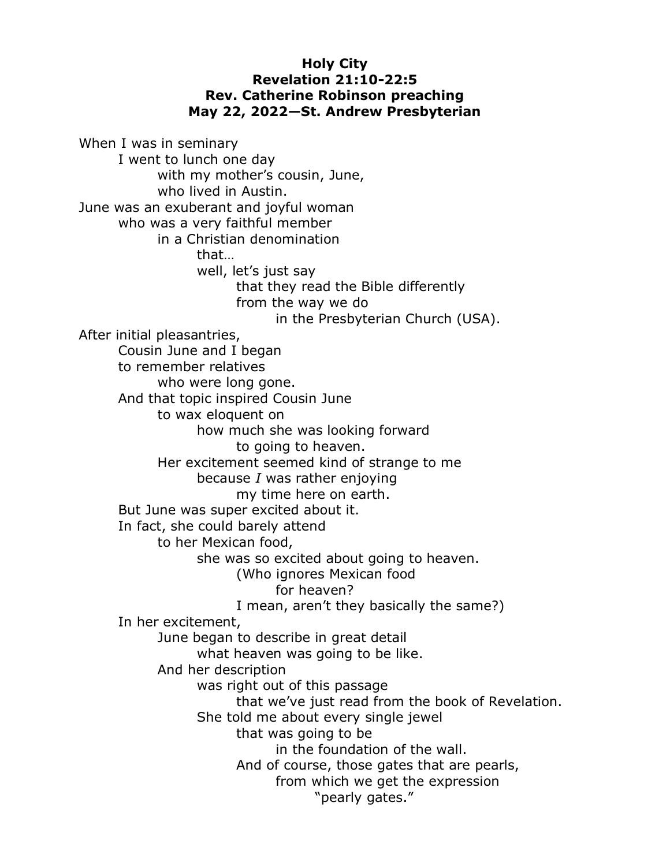## **Holy City Revelation 21:10-22:5 Rev. Catherine Robinson preaching May 22, 2022—St. Andrew Presbyterian**

When I was in seminary I went to lunch one day with my mother's cousin, June, who lived in Austin. June was an exuberant and joyful woman who was a very faithful member in a Christian denomination that… well, let's just say that they read the Bible differently from the way we do in the Presbyterian Church (USA). After initial pleasantries, Cousin June and I began to remember relatives who were long gone. And that topic inspired Cousin June to wax eloquent on how much she was looking forward to going to heaven. Her excitement seemed kind of strange to me because *I* was rather enjoying my time here on earth. But June was super excited about it. In fact, she could barely attend to her Mexican food, she was so excited about going to heaven. (Who ignores Mexican food for heaven? I mean, aren't they basically the same?) In her excitement, June began to describe in great detail what heaven was going to be like. And her description was right out of this passage that we've just read from the book of Revelation. She told me about every single jewel that was going to be in the foundation of the wall. And of course, those gates that are pearls, from which we get the expression "pearly gates."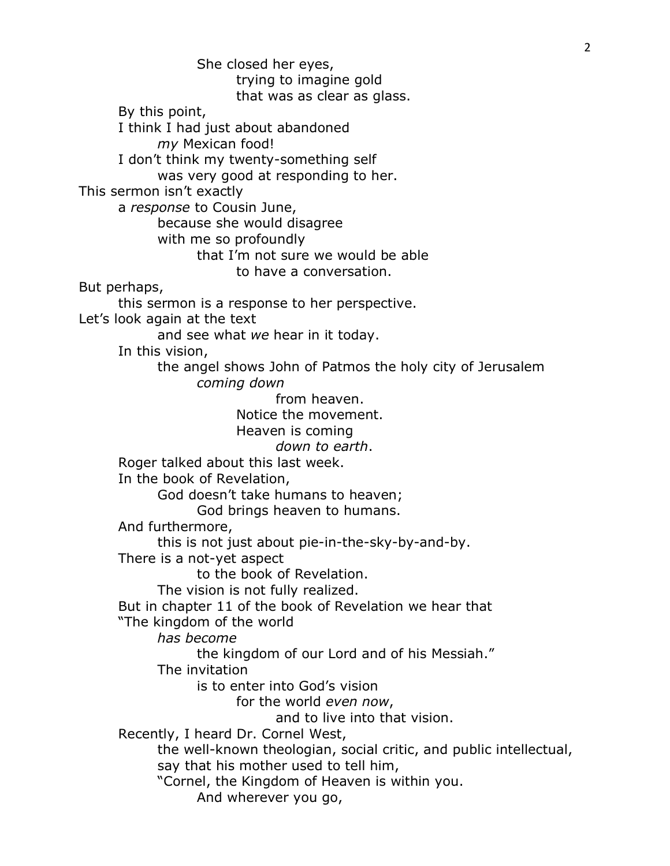She closed her eyes, trying to imagine gold that was as clear as glass. By this point, I think I had just about abandoned *my* Mexican food! I don't think my twenty-something self was very good at responding to her. This sermon isn't exactly a *response* to Cousin June, because she would disagree with me so profoundly that I'm not sure we would be able to have a conversation. But perhaps, this sermon is a response to her perspective. Let's look again at the text and see what *we* hear in it today. In this vision, the angel shows John of Patmos the holy city of Jerusalem *coming down* from heaven. Notice the movement. Heaven is coming *down to earth*. Roger talked about this last week. In the book of Revelation, God doesn't take humans to heaven; God brings heaven to humans. And furthermore, this is not just about pie-in-the-sky-by-and-by. There is a not-yet aspect to the book of Revelation. The vision is not fully realized. But in chapter 11 of the book of Revelation we hear that "The kingdom of the world *has become* the kingdom of our Lord and of his Messiah." The invitation is to enter into God's vision for the world *even now*, and to live into that vision. Recently, I heard Dr. Cornel West, the well-known theologian, social critic, and public intellectual, say that his mother used to tell him, "Cornel, the Kingdom of Heaven is within you. And wherever you go,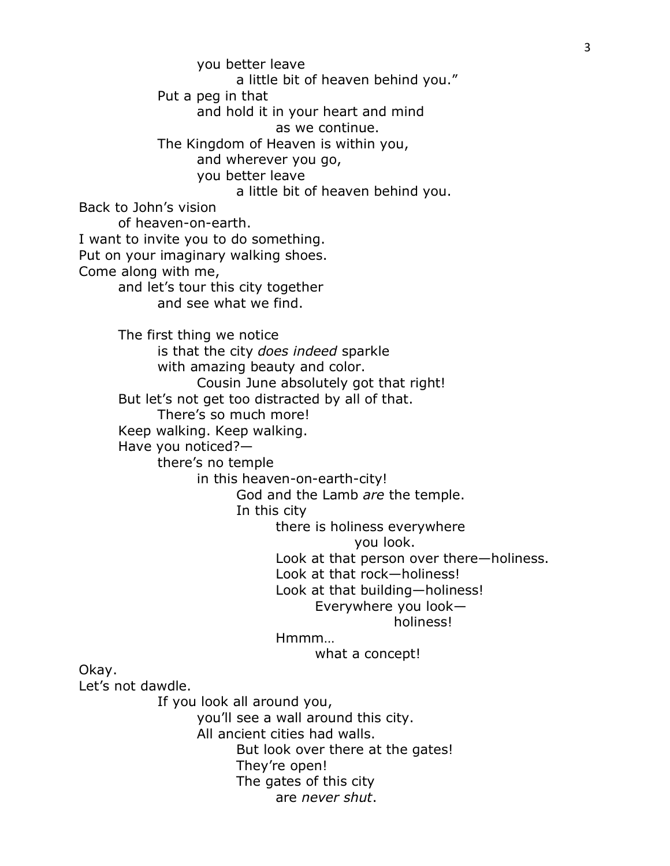you better leave a little bit of heaven behind you." Put a peg in that and hold it in your heart and mind as we continue. The Kingdom of Heaven is within you, and wherever you go, you better leave a little bit of heaven behind you. Back to John's vision of heaven-on-earth. I want to invite you to do something. Put on your imaginary walking shoes. Come along with me, and let's tour this city together and see what we find. The first thing we notice is that the city *does indeed* sparkle with amazing beauty and color. Cousin June absolutely got that right! But let's not get too distracted by all of that. There's so much more! Keep walking. Keep walking. Have you noticed? there's no temple in this heaven-on-earth-city! God and the Lamb *are* the temple. In this city there is holiness everywhere you look. Look at that person over there—holiness. Look at that rock—holiness! Look at that building—holiness! Everywhere you look holiness! Hmmm… what a concept! Okay. Let's not dawdle. If you look all around you, you'll see a wall around this city. All ancient cities had walls. But look over there at the gates! They're open! The gates of this city

are *never shut*.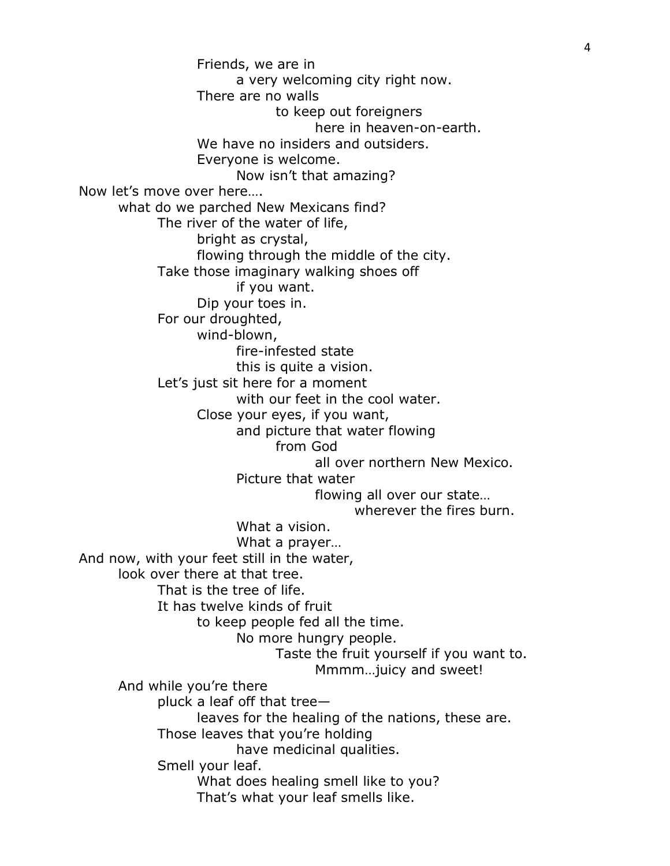Friends, we are in a very welcoming city right now. There are no walls to keep out foreigners here in heaven-on-earth. We have no insiders and outsiders. Everyone is welcome. Now isn't that amazing? Now let's move over here…. what do we parched New Mexicans find? The river of the water of life, bright as crystal, flowing through the middle of the city. Take those imaginary walking shoes off if you want. Dip your toes in. For our droughted, wind-blown, fire-infested state this is quite a vision. Let's just sit here for a moment with our feet in the cool water. Close your eyes, if you want, and picture that water flowing from God all over northern New Mexico. Picture that water flowing all over our state… wherever the fires burn. What a vision. What a prayer… And now, with your feet still in the water, look over there at that tree. That is the tree of life. It has twelve kinds of fruit to keep people fed all the time. No more hungry people. Taste the fruit yourself if you want to. Mmmm…juicy and sweet! And while you're there pluck a leaf off that tree leaves for the healing of the nations, these are. Those leaves that you're holding have medicinal qualities. Smell your leaf. What does healing smell like to you? That's what your leaf smells like.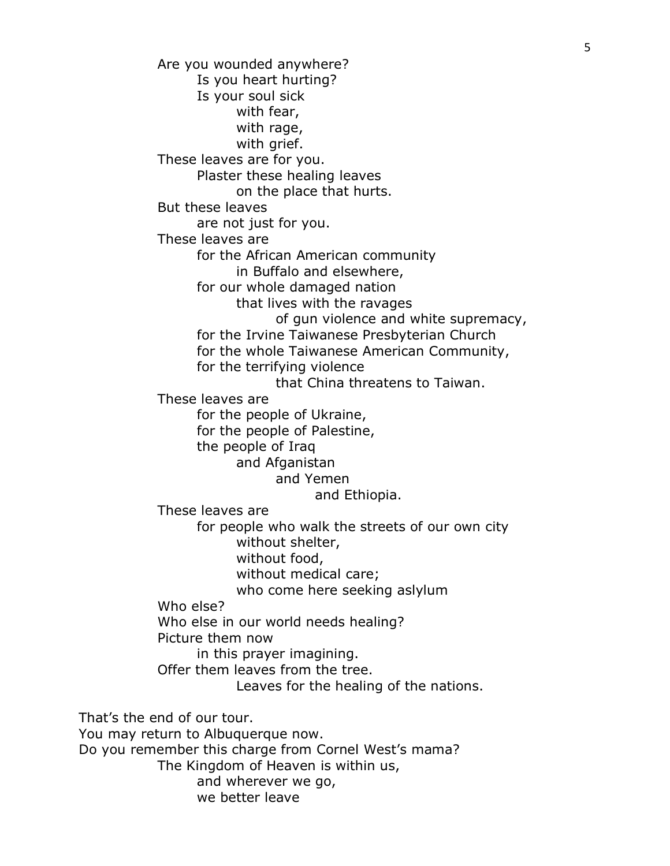Are you wounded anywhere? Is you heart hurting? Is your soul sick with fear, with rage, with grief. These leaves are for you. Plaster these healing leaves on the place that hurts. But these leaves are not just for you. These leaves are for the African American community in Buffalo and elsewhere, for our whole damaged nation that lives with the ravages of gun violence and white supremacy, for the Irvine Taiwanese Presbyterian Church for the whole Taiwanese American Community, for the terrifying violence that China threatens to Taiwan. These leaves are for the people of Ukraine, for the people of Palestine, the people of Iraq and Afganistan and Yemen and Ethiopia. These leaves are for people who walk the streets of our own city without shelter, without food, without medical care; who come here seeking aslylum Who else? Who else in our world needs healing? Picture them now in this prayer imagining. Offer them leaves from the tree. Leaves for the healing of the nations. That's the end of our tour. You may return to Albuquerque now. Do you remember this charge from Cornel West's mama? The Kingdom of Heaven is within us, and wherever we go, we better leave